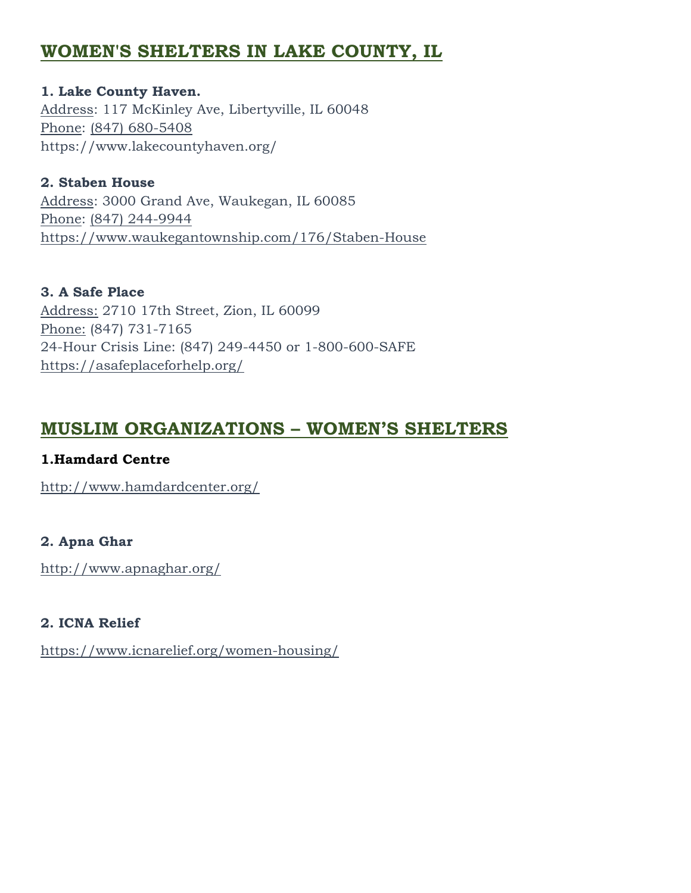# **WOMEN'S SHELTERS IN LAKE COUNTY, IL**

**1. Lake County Haven.** [Address:](https://www.google.com/search?rlz=1C1EJFA_enUS775US776&site=async/lcl_akp&q=lake+county+haven+address&stick=H4sIAAAAAAAAAOPgE-LWT9c3LEkxS0rPS9aSzU620s_JT04syczPgzOsElNSilKLiwHiBhs-LgAAAA&ludocid=6682863806980451064&sa=X&ved=2ahUKEwjx7rPk5ZbfAhUn74MKHQ0VATEQ6BMwA3oECAEQIg) 117 McKinley Ave, Libertyville, IL 60048 [Phone:](https://www.google.com/search?rlz=1C1EJFA_enUS775US776&site=async/lcl_akp&q=lake+county+haven+phone&ludocid=6682863806980451064&sa=X&ved=2ahUKEwjx7rPk5ZbfAhUn74MKHQ0VATEQ6BMwBXoECAEQNg) [\(847\) 680-5408](https://www.google.com/search?q=WOmens%20Shelters%20in%20Lake%20COunty%2C%20IL&rlz=1C1EJFA_enUS775US776&oq=WOmens+Shelters+in+Lake+COunty%2C+IL&aqs=chrome..69i57j0l2.10373j0j8&sourceid=chrome&ie=UTF-8&npsic=0&rflfq=1&rlha=0&rllag=42326079,-87914019,6014&tbm=lcl&rldimm=6682863806980451064&ved=2ahUKEwiPwIa15ZbfAhVS1IMKHXaqDnYQvS4wAHoECAAQLA&rldoc=1&tbs=lrf:!2m4!1e17!4m2!17m1!1e2!2m1!1e2!2m1!1e3!2m1!1e16!3sIAE,lf:1,lf_ui:2) https://www.lakecountyhaven.org/

**2. Staben House** [Address:](https://www.google.com/search?rlz=1C1EJFA_enUS775US776&site=async/lcl_akp&q=staben+house+address&stick=H4sIAAAAAAAAAOPgE-LWT9c3LEkzLshILtOSzU620s_JT04syczPgzOsElNSilKLiwH51CVeLgAAAA&ludocid=1114741468777096534&sa=X&ved=2ahUKEwi1rJ775ZbfAhWI2YMKHZ0GAUQQ6BMwA3oECAEQIg) 3000 Grand Ave, Waukegan, IL 60085 [Phone:](https://www.google.com/search?rlz=1C1EJFA_enUS775US776&site=async/lcl_akp&q=staben+house+phone&ludocid=1114741468777096534&sa=X&ved=2ahUKEwi1rJ775ZbfAhWI2YMKHZ0GAUQQ6BMwBXoECAEQNg) [\(847\) 244-9944](https://www.google.com/search?q=WOmens%20Shelters%20in%20Lake%20COunty%2C%20IL&rlz=1C1EJFA_enUS775US776&oq=WOmens+Shelters+in+Lake+COunty%2C+IL&aqs=chrome..69i57j0l2.10373j0j8&sourceid=chrome&ie=UTF-8&npsic=0&rflfq=1&rlha=0&rllag=42326079,-87914019,6014&tbm=lcl&rldimm=6682863806980451064&ved=2ahUKEwiPwIa15ZbfAhVS1IMKHXaqDnYQvS4wAHoECAAQLA&rldoc=1&tbs=lrf:!2m4!1e17!4m2!17m1!1e2!2m1!1e2!2m1!1e3!2m1!1e16!3sIAE,lf:1,lf_ui:2) <https://www.waukegantownship.com/176/Staben-House>

**3. A Safe Place** Address: 2710 17th Street, Zion, IL 60099 Phone: (847) 731-7165 24-Hour Crisis Line: (847) 249-4450 or 1-800-600-SAFE <https://asafeplaceforhelp.org/>

## **MUSLIM ORGANIZATIONS – WOMEN'S SHELTERS**

### **1.Hamdard Centre**

<http://www.hamdardcenter.org/>

### **2. Apna Ghar**

<http://www.apnaghar.org/>

### **2. ICNA Relief**

<https://www.icnarelief.org/women-housing/>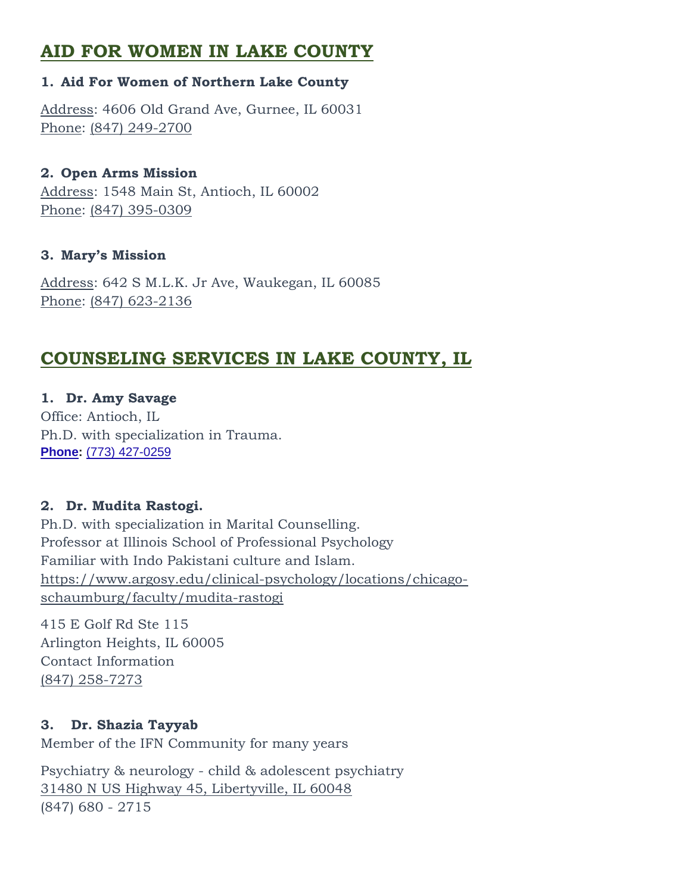# **AID FOR WOMEN IN LAKE COUNTY**

#### **1. Aid For Women of Northern Lake County**

[Address:](https://www.google.com/search?rlz=1C1EJFA_enUS775US776&site=async/lcl_akp&q=aid+for+women+of+northern+lake+county+address&stick=H4sIAAAAAAAAAOPgE-LRT9c3zEg2zMpJLjPWks1OttLPyU9OLMnMz4MzrBJTUopSi4sBsOVpzy8AAAA&ludocid=16101477309340259473&sa=X&ved=2ahUKEwiFqbmE55bfAhXD5YMKHQ8ZDcYQ6BMwA3oECAEQIg) 4606 Old Grand Ave, Gurnee, IL 60031 [Phone:](https://www.google.com/search?rlz=1C1EJFA_enUS775US776&site=async/lcl_akp&q=aid+for+women+of+northern+lake+county+phone&ludocid=16101477309340259473&sa=X&ved=2ahUKEwiFqbmE55bfAhXD5YMKHQ8ZDcYQ6BMwBnoECAEQPg) [\(847\) 249-2700](https://www.google.com/search?q=WOmens%20Shelters%20in%20Lake%20COunty%2C%20IL&rlz=1C1EJFA_enUS775US776&oq=WOmens+Shelters+in+Lake+COunty%2C+IL&aqs=chrome..69i57j0l2.10373j0j8&sourceid=chrome&ie=UTF-8&npsic=0&rflfq=1&rlha=0&rllag=42326079,-87914019,6014&tbm=lcl&rldimm=6682863806980451064&ved=2ahUKEwiPwIa15ZbfAhVS1IMKHXaqDnYQvS4wAHoECAAQLA&rldoc=1&tbs=lrf:!2m4!1e17!4m2!17m1!1e2!2m1!1e2!2m1!1e3!2m1!1e16!3sIAE,lf:1,lf_ui:2)

#### **2. Open Arms Mission**

[Address:](https://www.google.com/search?rlz=1C1EJFA_enUS775US776&site=async/lcl_akp&q=open+arms+mission+address&stick=H4sIAAAAAAAAAOPgE-LWT9c3rEhOKjRLM9KSzU620s_JT04syczPgzOsElNSilKLiwGs0siqLgAAAA&ludocid=10194260730022846664&sa=X&ved=2ahUKEwiW-c2b55bfAhWp8YMKHSgRBCMQ6BMwA3oECAEQIg) 1548 Main St, Antioch, IL 60002 [Phone:](https://www.google.com/search?rlz=1C1EJFA_enUS775US776&site=async/lcl_akp&q=open+arms+mission+phone&ludocid=10194260730022846664&sa=X&ved=2ahUKEwiW-c2b55bfAhWp8YMKHSgRBCMQ6BMwBnoECAEQPg) [\(847\) 395-0309](https://www.google.com/search?q=WOmens%20Shelters%20in%20Lake%20COunty%2C%20IL&rlz=1C1EJFA_enUS775US776&oq=WOmens+Shelters+in+Lake+COunty%2C+IL&aqs=chrome..69i57j0l2.10373j0j8&sourceid=chrome&ie=UTF-8&npsic=0&rflfq=1&rlha=0&rllag=42326079,-87914019,6014&tbm=lcl&rldimm=6682863806980451064&ved=2ahUKEwiPwIa15ZbfAhVS1IMKHXaqDnYQvS4wAHoECAAQLA&rldoc=1&tbs=lrf:!2m4!1e17!4m2!17m1!1e2!2m1!1e2!2m1!1e3!2m1!1e16!3sIAE,lf:1,lf_ui:2)

### **3. Mary's Mission**

[Address:](https://www.google.com/search?rlz=1C1EJFA_enUS775US776&site=async/lcl_akp&q=mary%27s+mission+address&stick=H4sIAAAAAAAAAOPgE-LWT9c3LCkrSaosKdSSzU620s_JT04syczPgzOsElNSilKLiwEu6E64LgAAAA&ludocid=12857349337710105594&sa=X&ved=2ahUKEwi86L3M55bfAhWWw4MKHUqLDaMQ6BMwA3oECAEQIQ) 642 S M.L.K. Jr Ave, Waukegan, IL 60085 [Phone:](https://www.google.com/search?rlz=1C1EJFA_enUS775US776&site=async/lcl_akp&q=mary%27s+mission+phone&ludocid=12857349337710105594&sa=X&ved=2ahUKEwi86L3M55bfAhWWw4MKHUqLDaMQ6BMwBXoECAEQNQ) [\(847\) 623-2136](https://www.google.com/search?q=WOmens%20Shelters%20in%20Lake%20COunty%2C%20IL&rlz=1C1EJFA_enUS775US776&oq=WOmens+Shelters+in+Lake+COunty%2C+IL&aqs=chrome..69i57j0l2.10373j0j8&sourceid=chrome&ie=UTF-8&npsic=0&rflfq=1&rlha=0&rllag=42326079,-87914019,6014&tbm=lcl&rldimm=6682863806980451064&ved=2ahUKEwiPwIa15ZbfAhVS1IMKHXaqDnYQvS4wAHoECAAQLA&rldoc=1&tbs=lrf:!2m4!1e17!4m2!17m1!1e2!2m1!1e2!2m1!1e3!2m1!1e16!3sIAE,lf:1,lf_ui:2)

# **COUNSELING SERVICES IN LAKE COUNTY, IL**

**1. Dr. Amy Savage** Office: Antioch, IL Ph.D. with specialization in Trauma. **[Phone:](https://www.google.com/search?rlz=1C1EJFA_enUS775US776&q=amy+l.+savage,+psyd+phone&ludocid=4432703618924828982&sa=X&ved=2ahUKEwjWzK6S75bfAhWG24MKHX0aBLkQ6BMwEnoECAkQAg)** [\(773\) 427-0259](https://www.google.com/search?q=dr+amy+savage&rlz=1C1EJFA_enUS775US776&oq=Dr+Amy+Savage&aqs=chrome.0.0l3j69i64.2129j0j8&sourceid=chrome&ie=UTF-8)

#### **2. Dr. Mudita Rastogi.**

Ph.D. with specialization in Marital Counselling. Professor at Illinois School of Professional Psychology Familiar with Indo Pakistani culture and Islam. [https://www.argosy.edu/clinical-psychology/locations/chicago](https://www.argosy.edu/clinical-psychology/locations/chicago-schaumburg/faculty/mudita-rastogi)[schaumburg/faculty/mudita-rastogi](https://www.argosy.edu/clinical-psychology/locations/chicago-schaumburg/faculty/mudita-rastogi)

415 E Golf Rd Ste 115 Arlington Heights, IL 60005 Contact Information [\(847\) 258-7273](tel:8472587273)

#### **3. Dr. Shazia Tayyab**

Member of the IFN Community for many years

Psychiatry & neurology - child & adolescent psychiatry [31480 N US Highway 45, Libertyville, IL 60048](https://www.bing.com/maps?&ty=18&q=Dr.%20Shazia%20Tayyab&satid=id.sid%3ae8fd1247-652f-4f1e-b47e-1fd5f440889b&ppois=42.320240020752_-88.0046615600586_Dr.%20Shazia%20Tayyab_~&cp=42.32024~-88.004662&v=2&sV=1) (847) 680 - 2715